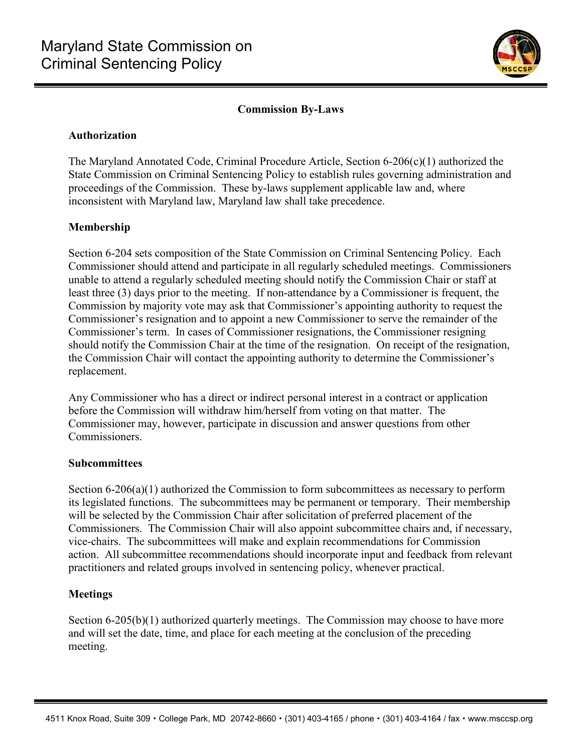

# **Commission By-Laws**

## **Authorization**

The Maryland Annotated Code, Criminal Procedure Article, Section 6-206(c)(1) authorized the State Commission on Criminal Sentencing Policy to establish rules governing administration and proceedings of the Commission. These by-laws supplement applicable law and, where inconsistent with Maryland law, Maryland law shall take precedence.

# **Membership**

Section 6-204 sets composition of the State Commission on Criminal Sentencing Policy. Each Commissioner should attend and participate in all regularly scheduled meetings. Commissioners unable to attend a regularly scheduled meeting should notify the Commission Chair or staff at least three (3) days prior to the meeting. If non-attendance by a Commissioner is frequent, the Commission by majority vote may ask that Commissioner's appointing authority to request the Commissioner's resignation and to appoint a new Commissioner to serve the remainder of the Commissioner's term. In cases of Commissioner resignations, the Commissioner resigning should notify the Commission Chair at the time of the resignation. On receipt of the resignation, the Commission Chair will contact the appointing authority to determine the Commissioner's replacement.

Any Commissioner who has a direct or indirect personal interest in a contract or application before the Commission will withdraw him/herself from voting on that matter. The Commissioner may, however, participate in discussion and answer questions from other Commissioners.

#### **Subcommittees**

Section 6-206(a)(1) authorized the Commission to form subcommittees as necessary to perform its legislated functions. The subcommittees may be permanent or temporary. Their membership will be selected by the Commission Chair after solicitation of preferred placement of the Commissioners. The Commission Chair will also appoint subcommittee chairs and, if necessary, vice-chairs. The subcommittees will make and explain recommendations for Commission action. All subcommittee recommendations should incorporate input and feedback from relevant practitioners and related groups involved in sentencing policy, whenever practical.

#### **Meetings**

Section 6-205(b)(1) authorized quarterly meetings. The Commission may choose to have more and will set the date, time, and place for each meeting at the conclusion of the preceding meeting.